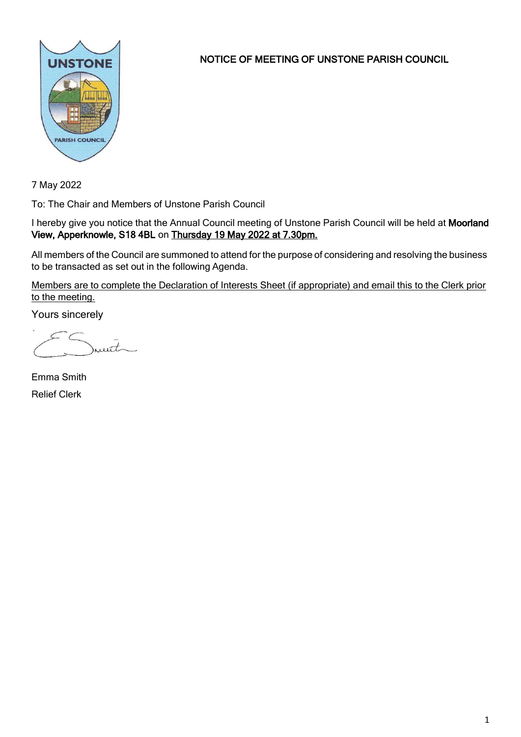

NOTICE OF MEETING OF UNSTONE PARISH COUNCIL

7 May 2022

To: The Chair and Members of Unstone Parish Council

I hereby give you notice that the Annual Council meeting of Unstone Parish Council will be held at Moorland View, Apperknowle, S18 4BL on Thursday 19 May 2022 at 7.30pm.

All members of the Council are summoned to attend for the purpose of considering and resolving the business to be transacted as set out in the following Agenda.

Members are to complete the Declaration of Interests Sheet (if appropriate) and email this to the Clerk prior to the meeting.

Yours sincerely

munt

Emma Smith Relief Clerk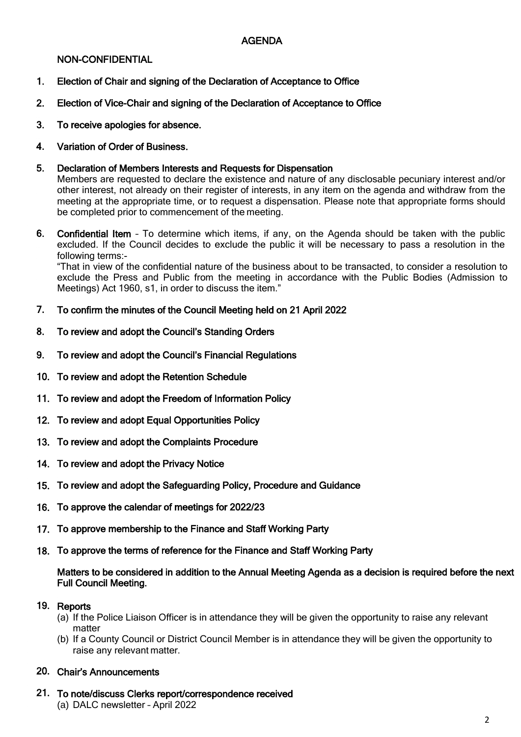## AGENDA

#### NON-CONFIDENTIAL

- 1. Election of Chair and signing of the Declaration of Acceptance to Office
- 2. Election of Vice-Chair and signing of the Declaration of Acceptance to Office
- 3. To receive apologies for absence.
- 4. Variation of Order of Business.
- 5. Declaration of Members Interests and Requests for Dispensation

Members are requested to declare the existence and nature of any disclosable pecuniary interest and/or other interest, not already on their register of interests, in any item on the agenda and withdraw from the meeting at the appropriate time, or to request a dispensation. Please note that appropriate forms should be completed prior to commencement of the meeting.

6. Confidential Item – To determine which items, if any, on the Agenda should be taken with the public excluded. If the Council decides to exclude the public it will be necessary to pass a resolution in the following terms:-

"That in view of the confidential nature of the business about to be transacted, to consider a resolution to exclude the Press and Public from the meeting in accordance with the Public Bodies (Admission to Meetings) Act 1960, s1, in order to discuss the item."

- 7. To confirm the minutes of the Council Meeting held on 21 April 2022
- 8. To review and adopt the Council's Standing Orders
- 9. To review and adopt the Council's Financial Regulations
- 10. To review and adopt the Retention Schedule
- 11. To review and adopt the Freedom of Information Policy
- 12. To review and adopt Equal Opportunities Policy
- 13. To review and adopt the Complaints Procedure
- 14. To review and adopt the Privacy Notice
- 15. To review and adopt the Safeguarding Policy, Procedure and Guidance
- 16. To approve the calendar of meetings for 2022/23
- 17. To approve membership to the Finance and Staff Working Party
- 18. To approve the terms of reference for the Finance and Staff Working Party

#### Matters to be considered in addition to the Annual Meeting Agenda as a decision is required before the next Full Council Meeting.

#### 19. Reports

- (a) If the Police Liaison Officer is in attendance they will be given the opportunity to raise any relevant matter
- (b) If a County Council or District Council Member is in attendance they will be given the opportunity to raise any relevant matter.

#### 20. Chair's Announcements

21. To note/discuss Clerks report/correspondence received (a) DALC newsletter – April 2022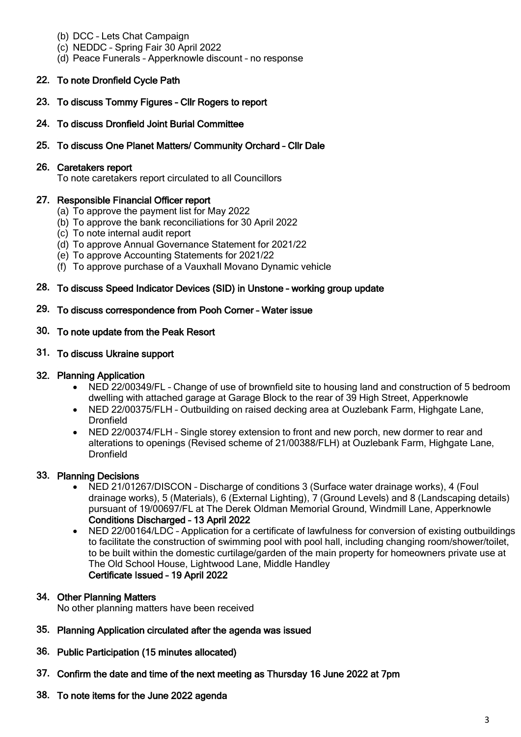- (b) DCC Lets Chat Campaign
- (c) NEDDC Spring Fair 30 April 2022
- (d) Peace Funerals Apperknowle discount no response

# 22. To note Dronfield Cycle Path

- 23. To discuss Tommy Figures Cllr Rogers to report
- 24. To discuss Dronfield Joint Burial Committee
- 25. To discuss One Planet Matters/ Community Orchard Cllr Dale

## 26. Caretakers report

To note caretakers report circulated to all Councillors

## 27. Responsible Financial Officer report

- (a) To approve the payment list for May 2022
- (b) To approve the bank reconciliations for 30 April 2022
- (c) To note internal audit report
- (d) To approve Annual Governance Statement for 2021/22
- (e) To approve Accounting Statements for 2021/22
- (f) To approve purchase of a Vauxhall Movano Dynamic vehicle

## 28. To discuss Speed Indicator Devices (SID) in Unstone – working group update

#### 29. To discuss correspondence from Pooh Corner – Water issue

#### 30. To note update from the Peak Resort

#### 31. To discuss Ukraine support

## 32. Planning Application

- NED 22/00349/FL Change of use of brownfield site to housing land and construction of 5 bedroom dwelling with attached garage at Garage Block to the rear of 39 High Street, Apperknowle
- NED 22/00375/FLH Outbuilding on raised decking area at Ouzlebank Farm, Highgate Lane, Dronfield
- NED 22/00374/FLH Single storey extension to front and new porch, new dormer to rear and alterations to openings (Revised scheme of 21/00388/FLH) at Ouzlebank Farm, Highgate Lane, **Dronfield**

## 33. Planning Decisions

- NED 21/01267/DISCON Discharge of conditions 3 (Surface water drainage works), 4 (Foul drainage works), 5 (Materials), 6 (External Lighting), 7 (Ground Levels) and 8 (Landscaping details) pursuant of 19/00697/FL at The Derek Oldman Memorial Ground, Windmill Lane, Apperknowle Conditions Discharged – 13 April 2022
- NED 22/00164/LDC Application for a certificate of lawfulness for conversion of existing outbuildings to facilitate the construction of swimming pool with pool hall, including changing room/shower/toilet, to be built within the domestic curtilage/garden of the main property for homeowners private use at The Old School House, Lightwood Lane, Middle Handley Certificate Issued – 19 April 2022

## 34. Other Planning Matters

No other planning matters have been received

- 35. Planning Application circulated after the agenda was issued
- 36. Public Participation (15 minutes allocated)
- 37. Confirm the date and time of the next meeting as Thursday 16 June 2022 at 7pm
- 38. To note items for the June 2022 agenda